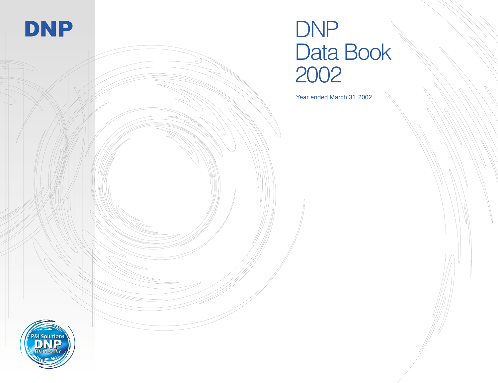

# DNP Data Book 2002

Year ended March 31, 2002

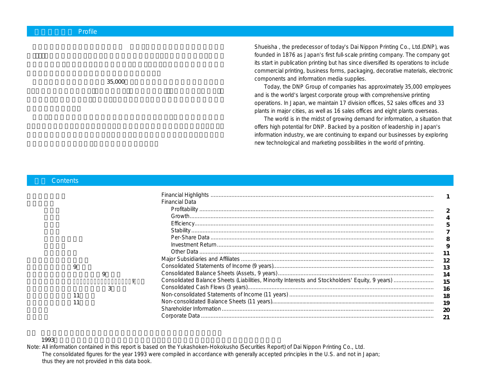$35,000$ 

Shueisha , the predecessor of today's Dai Nippon Printing Co., Ltd.(DNP), was founded in 1876 as Japan's first full-scale printing company. The company got its start in publication printing but has since diversified its operations to include commercial printing, business forms, packaging, decorative materials, electronic components and information media supplies.

Today, the DNP Group of companies has approximately 35,000 employees and is the world's largest corporate group with comprehensive printing operations. In Japan, we maintain 17 division offices, 52 sales offices and 33 plants in major cities, as well as 16 sales offices and eight plants overseas.

The world is in the midst of growing demand for information, a situation that offers high potential for DNP. Backed by a position of leadership in Japan's information industry, we are continuing to expand our businesses by exploring new technological and marketing possibilities in the world of printing.

|   |   | <b>Financial Data</b>                                                                                                                                                                                                                                                                                                                                                                                                                                                                                                                                                    |                                         |
|---|---|--------------------------------------------------------------------------------------------------------------------------------------------------------------------------------------------------------------------------------------------------------------------------------------------------------------------------------------------------------------------------------------------------------------------------------------------------------------------------------------------------------------------------------------------------------------------------|-----------------------------------------|
|   |   | Profitability                                                                                                                                                                                                                                                                                                                                                                                                                                                                                                                                                            |                                         |
|   |   |                                                                                                                                                                                                                                                                                                                                                                                                                                                                                                                                                                          |                                         |
|   |   |                                                                                                                                                                                                                                                                                                                                                                                                                                                                                                                                                                          |                                         |
|   |   | $\begin{minipage}{.4\linewidth} \textbf{Stability} \end{minipage} \begin{minipage}{.4\linewidth} \textbf{Stability} \end{minipage} \begin{minipage}{.4\linewidth} \textbf{Stability} \end{minipage} \begin{minipage}{.4\linewidth} \textbf{Stability} \end{minipage} \begin{minipage}{.4\linewidth} \textbf{Stability} \end{minipage} \begin{minipage}{.4\linewidth} \textbf{Stability} \end{minipage} \begin{minipage}{.4\linewidth} \textbf{Stability} \end{minipage} \begin{minipage}{.4\linewidth} \textbf{Stability} \end{minipage} \begin{minipage}{.4\linewidth}$ |                                         |
|   |   |                                                                                                                                                                                                                                                                                                                                                                                                                                                                                                                                                                          |                                         |
|   |   |                                                                                                                                                                                                                                                                                                                                                                                                                                                                                                                                                                          |                                         |
|   |   |                                                                                                                                                                                                                                                                                                                                                                                                                                                                                                                                                                          |                                         |
|   |   |                                                                                                                                                                                                                                                                                                                                                                                                                                                                                                                                                                          |                                         |
| q |   |                                                                                                                                                                                                                                                                                                                                                                                                                                                                                                                                                                          |                                         |
|   | 9 |                                                                                                                                                                                                                                                                                                                                                                                                                                                                                                                                                                          | $\begin{array}{c} 13 \\ 14 \end{array}$ |
|   |   |                                                                                                                                                                                                                                                                                                                                                                                                                                                                                                                                                                          | 15                                      |
|   | 3 |                                                                                                                                                                                                                                                                                                                                                                                                                                                                                                                                                                          |                                         |
|   |   |                                                                                                                                                                                                                                                                                                                                                                                                                                                                                                                                                                          | 16<br>18                                |
|   |   |                                                                                                                                                                                                                                                                                                                                                                                                                                                                                                                                                                          |                                         |
|   |   |                                                                                                                                                                                                                                                                                                                                                                                                                                                                                                                                                                          | <b>19</b>                               |
|   |   |                                                                                                                                                                                                                                                                                                                                                                                                                                                                                                                                                                          | $\alpha$                                |
|   |   |                                                                                                                                                                                                                                                                                                                                                                                                                                                                                                                                                                          |                                         |

### 1993 $\blacksquare$

**Contents** 

Note: All information contained in this report is based on the Yukashoken-Hokokusho (Securities Report) of Dai Nippon Printing Co., Ltd. The consolidated figures for the year 1993 were compiled in accordance with generally accepted principles in the U.S. and not in Japan; thus they are not provided in this data book.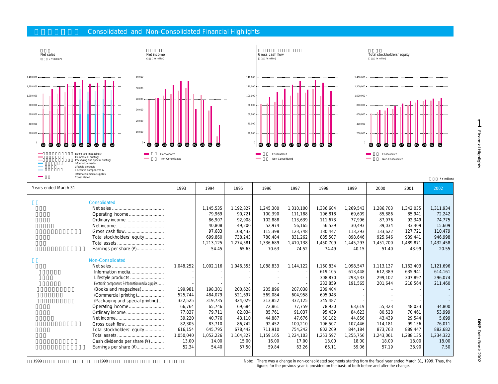### **Consolidated and Non-Consolidated Financial Highlights**





| Consolidated                                       |           |           |           |           |           |           |           |           |           | $Y$ million) |
|----------------------------------------------------|-----------|-----------|-----------|-----------|-----------|-----------|-----------|-----------|-----------|--------------|
| Years ended March 31                               | 1993      | 1994      | 1995      | 1996      | 1997      | 1998      | 1999      | 2000      | 2001      | 2002         |
| Consolidated                                       |           |           |           |           |           |           |           |           |           |              |
|                                                    |           | 1,145,535 | 1,192,827 | 1,245,300 | 1,310,100 | 1,336,604 | 1,269,543 | 1,286,703 | 1,342,035 | 1,311,934    |
|                                                    |           | 79,969    | 90,721    | 100,390   | 111,188   | 106,818   | 69,609    | 85,886    | 85,941    | 72,242       |
| Ordinary income                                    |           | 86,907    | 92,908    | 102.888   | 113,639   | 111.673   | 77,996    | 87.976    | 92,349    | 74,775       |
|                                                    |           | 40,808    | 49,200    | 52,974    | 56,165    | 56,539    | 30,493    | 39,034    | 33,409    | 15,609       |
| Gross cash flow                                    |           | 97,683    | 108,432   | 115,398   | 123,748   | 130,447   | 113,293   | 133,622   | 127,721   | 110,479      |
| Total stockholders' equity                         |           | 699,860   | 738,243   | 780,484   | 831,262   | 885,507   | 898,646   | 925,646   | 939,441   | 946,998      |
|                                                    |           | 1,213,125 | 1,274,581 | 1,336,689 | 1,410,138 | 1,450,709 | 1,445,293 | 1,451,700 | 1,489,871 | 1,432,458    |
| Earnings per share (¥)                             |           | 54.45     | 65.63     | 70.63     | 74.52     | 74.49     | 40.15     | 51.40     | 43.99     | 20.55        |
|                                                    |           |           |           |           |           |           |           |           |           |              |
| Non-Consolidated                                   |           |           |           |           |           |           |           |           |           |              |
|                                                    | 1,048,252 | 1,002,116 | 1,046,355 | 1,088,833 | 1,144,122 | 1,160,834 | 1,098,547 | 1,113,137 | 1,162,403 | 1,121,696    |
| Information media                                  |           |           |           |           |           | 619,105   | 613,448   | 612,389   | 635,941   | 614,161      |
| Lifestyle products                                 |           |           |           |           |           | 308,870   | 293,533   | 299,102   | 307,897   | 296,074      |
| Electronic components & Information media supplies |           |           |           |           |           | 232,859   | 191,565   | 201,644   | 218,564   | 211,460      |
| (Books and magazines)                              | 199,981   | 198,301   | 200,628   | 205,896   | 207,038   | 209,404   |           |           |           |              |
| (Commercial printing)                              | 525,744   | 484,079   | 521,697   | 569,084   | 604,958   | 605,943   |           |           |           |              |
| (Packaging and special printing)                   | 322,525   | 319,735   | 324,029   | 313,852   | 332,125   | 345,487   |           |           |           |              |
|                                                    | 66,764    | 65,746    | 69,684    | 72,861    | 77,759    | 78,930    | 63,619    | 55,323    | 48,023    | 34,800       |
| Ordinary income                                    | 77,837    | 79,711    | 82,034    | 85,761    | 91,037    | 95,439    | 84,623    | 80,528    | 70.461    | 53,999       |
|                                                    | 39,220    | 40,776    | 43,110    | 44,887    | 47,676    | 50,182    | 44,856    | 43,439    | 29,544    | 5,699        |
| Gross cash flow                                    | 82,305    | 83,710    | 86,742    | 92,452    | 100,210   | 106,507   | 107,446   | 114,181   | 99,156    | 76,011       |
| Total stockholders' equity                         | 616,154   | 645,795   | 678,442   | 711,910   | 754,242   | 802,209   | 844,184   | 873,763   | 889,447   | 882,682      |
|                                                    | 1,050,040 | 1,052,226 | 1,104,327 | 1,159,165 | 1,224,103 | 1,253,597 | 1,255,756 | 1,243,061 | 1,288,135 | 1,234,322    |
| Cash dividends per share (¥)                       | 13.00     | 14.00     | 15.00     | 16.00     | 17.00     | 18.00     | 18.00     | 18.00     | 18.00     | 18.00        |
| Earnings per share (¥)                             | 52.34     | 54.40     | 57.50     | 59.84     | 63.26     | 66.11     | 59.06     | 57.19     | 38.90     | 7.50         |
|                                                    |           |           |           |           |           |           |           |           |           |              |

1999 1998 **1998 Example 2008 Conserverse Example 2018** Mote: There was a change in non-consolidated segments starting from the fiscal year ended March 31, 1999. Thus, the figures for the previous year is provided on the basis of both before and after the change.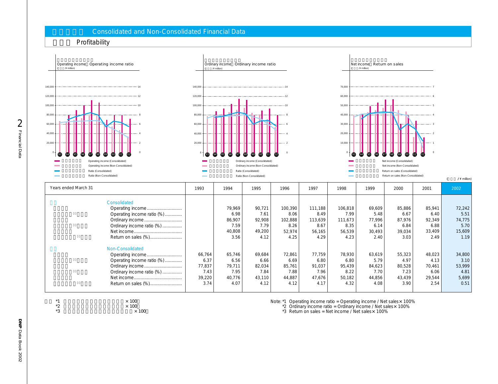### **Consolidated and Non-Consolidated Financial Data**

 $*2$   $*100$   $*100$  $*3$   $\times$  100



 $2002$ 

Note: \*1 Operating income ratio = Operating income / Net sales × 100%

 $*2$  Ordinary income ratio = Ordinary income / Net sales $\times$  100%

 $*3$  Return on sales = Net income / Net sales $\times$  100%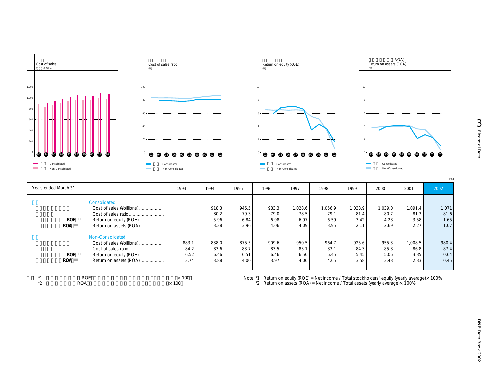

| Years ended March 31 |                            | 1993         | 1994  | 1995     | 1996  | 1997    | 1998                                                                                            | 1999    | 2000    | 2001    | 2002  |
|----------------------|----------------------------|--------------|-------|----------|-------|---------|-------------------------------------------------------------------------------------------------|---------|---------|---------|-------|
|                      | Consolidated               |              |       |          |       |         |                                                                                                 |         |         |         |       |
|                      | Cost of sales (# billions) |              | 918.3 | 945.5    | 983.3 | 1,028.6 | 1.056.9                                                                                         | 1.033.9 | 1.039.0 | 1.091.4 | 1,071 |
|                      |                            |              | 80.2  | 79.3     | 79.0  | 78.5    | 79.1                                                                                            | 81.4    | 80.7    | 81.3    | 81.6  |
| <b>ROE</b>           | Return on equity (ROE)     |              | 5.96  | 6.84     | 6.98  | 6.97    | 6.59                                                                                            | 3.42    | 4.28    | 3.58    | 1.65  |
| <b>ROA</b>           | Return on assets (ROA)     |              | 3.38  | 3.96     | 4.06  | 4.09    | 3.95                                                                                            | 2.11    | 2.69    | 2.27    | 1.07  |
|                      | Non-Consolidated           |              |       |          |       |         |                                                                                                 |         |         |         |       |
|                      | Cost of sales (# billions) | 883.1        | 838.0 | 875.5    | 909.6 | 950.5   | 964.7                                                                                           | 925.6   | 955.3   | 1,008.5 | 980.4 |
|                      |                            | 84.2         | 83.6  | 83.7     | 83.5  | 83.1    | 83.1                                                                                            | 84.3    | 85.8    | 86.8    | 87.4  |
| <b>ROE</b>           | Return on equity (ROE)     | 6.52         | 6.46  | 6.51     | 6.46  | 6.50    | 6.45                                                                                            | 5.45    | 5.06    | 3.35    | 0.64  |
| <b>ROA</b>           | Return on assets (ROA)     | 3.74         | 3.88  | 4.00     | 3.97  | 4.00    | 4.05                                                                                            | 3.58    | 3.48    | 2.33    | 0.45  |
|                      |                            |              |       |          |       |         |                                                                                                 |         |         |         |       |
| $*1$                 | <b>ROE</b>                 | $\times$ 100 |       | Note: *1 |       |         | Return on equity (ROE) = Net income / Total stockholders' equity (yearly average) $\times$ 100% |         |         |         |       |

 $*2$  ROA  $*100$ 

Note: \*1 Return on equity (ROE) = Net income / Total stockholders' equity (yearly average)×100% \*2 Return on assets (ROA) = Net income / Total assets (yearly average)× 100%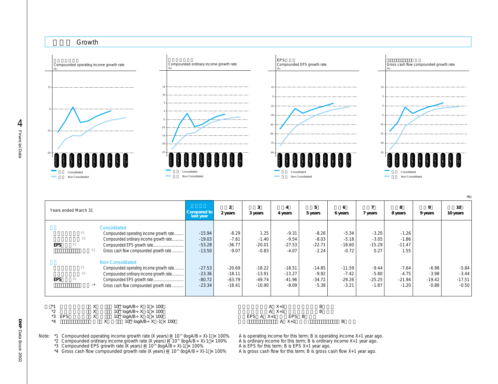

(**%**)

| Years ended March 31 |                                         | Compared to<br>last year | $\overline{2}$<br>2 years | 3<br>3 years | 4 years       | 5<br>5 years | 6<br>6 years | 7 years  | 8<br>8 years | $\mathbf Q$<br>9 years | 10<br>10 years |
|----------------------|-----------------------------------------|--------------------------|---------------------------|--------------|---------------|--------------|--------------|----------|--------------|------------------------|----------------|
|                      | Consolidated                            |                          |                           |              |               |              |              |          |              |                        |                |
|                      | Compounded operating income growth rate | $-15.94$                 | $-8.29$                   | 1.25         | $-9.31$       | $-8.26$      | $-5.34$      | $-3.20$  | $-1.26$      |                        |                |
|                      | Compounded ordinary income growth rate  | $-19.03$                 | $-7.81$                   | $-1.40$      | $-9.54$       | $-8.03$      | $-5.18$      | $-3.05$  | $-1.86$      |                        |                |
| <b>EPS</b>           |                                         | $-53.28$                 | $-36.77$                  | $-20.01$     | $-27.53$      | $-22.71$     | $-18.60$     | $-15.29$ | $-11.47$     |                        |                |
|                      | Gross cash flow compounded growth rate  | $-13.50$                 | $-9.07$                   | $-0.83$      | $-4.07$       | $-2.24$      | $-0.72$      | 0.27     | 1.55         |                        |                |
|                      | Non-Consolidated                        |                          |                           |              |               |              |              |          |              |                        |                |
|                      | Compounded operating income growth rate | $-27.53$                 | $-20.69$                  | $-18.22$     | $-18.51$      | $-14.85$     | $-11.59$     | $-9.44$  | $-7.64$      | $-6.98$                | $-5.84$        |
|                      | Compounded ordinary income growth rate  | $-23.36$                 | $-18.11$                  | $-13.91$     | $-13.27$      | $-9.92$      | $-7.42$      | $-5.80$  | $-4.75$      | $-3.98$                | $-3.44$        |
| <b>EPS</b>           |                                         | $-80.72$                 | $-63.79$                  | $-49.74$     | $-41.96$      | $-34.72$     | $-29.26$     | $-25.25$ | $-21.94$     | $-19.42$               | $-17.51$       |
|                      | Gross cash flow compounded growth rate  | $-23.34$                 | $-18.41$                  | $-10.90$     | $-8.09$       | $-5.38$      | $-3.21$      | $-1.87$  | $-1.20$      | $-0.88$                | $-0.50$        |
|                      |                                         |                          |                           |              |               |              |              |          |              |                        |                |
|                      |                                         |                          |                           |              |               |              |              |          |              |                        |                |
|                      | Χ<br>10^ $logAB ÷ X -1 × 100$           |                          |                           |              | $A \quad X+1$ | B            |              |          |              |                        |                |

|        | $10^{\circ}$ 100 A/B ÷ X - I $\times$ 100 | $X +$                |  |
|--------|-------------------------------------------|----------------------|--|
| ∸      | 10^ $logAB \div X - 1 \times 100$         | $X +$                |  |
| *3 EPS | 10^ $logAB \div X -1 \times 100$          | EPS<br>$EPS$ A $X+1$ |  |
|        | $100 \text{ load } D. V 1.100$            |                      |  |

100 EPS A X+1 EPS B<br>−1 × 100 A X+1  $X$   $\tilde{10}$ <sup>(</sup>logA/B $\div$ X -1  $\times$  100

Note: \*1 Compounded operating income growth rate (X years) = 10^ (logA/B÷ X)-1 x 100% A is operating income for this term; B is operating income X+1 year ago.<br>\*2 Compounded ordinary income growth rate (X years) = 10^ (logA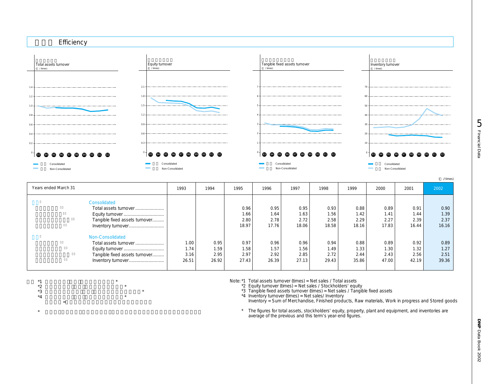

| Years ended March 31           | 1993  | 1994  | 1995              | 1996  | 1997  | 1998  | 1999  | 2000  | 2001  | 2002  |
|--------------------------------|-------|-------|-------------------|-------|-------|-------|-------|-------|-------|-------|
| Consolidated                   |       |       |                   |       |       |       |       |       |       |       |
| Total assets turnover          |       |       | 0.96              | 0.95  | 0.95  | 0.93  | 0.88  | 0.89  | 0.91  | 0.90  |
|                                |       |       | 1.66 <sub>1</sub> | 1.64  | 1.63  | 1.56  | 1.42  | 1.41  | 1.44  | 1.39  |
| Tangible fixed assets turnover |       |       | 2.80              | 2.78  | 2.72  | 2.58  | 2.29  | 2.27  | 2.39  | 2.37  |
| Inventory turnover             |       |       | 18.97             | 17.76 | 18.06 | 18.58 | 18.16 | 17.83 | 16.44 | 16.16 |
| Non-Consolidated               |       |       |                   |       |       |       |       |       |       |       |
| Total assets turnover          | 1.00  | 0.95  | 0.97              | 0.96  | 0.96  | 0.94  | 0.88  | 0.89  | 0.92  | 0.89  |
|                                | 1.74  | 1.59  | 1.58              | 1.57  | 1.56  | 1.49  | 1.33  | 1.30  | 1.32  | 1.27  |
| Tangible fixed assets turnover | 3.16  | 2.95  | 2.97              | 2.92  | 2.85  | 2.72  | 2.44  | 2.43  | 2.56  | 2.51  |
| Inventory turnover             | 26.51 | 26.92 | 27.43             | 26.39 | 27.13 | 29.43 | 35.86 | 47.00 | 42.19 | 39.36 |

 $*1$   $*$  $\overline{1}$   $\overline{2}$   $\overline{2}$   $\overline{3}$   $\overline{4}$   $\overline{2}$   $\overline{3}$   $\overline{4}$   $\overline{2}$   $\overline{3}$   $\overline{4}$   $\overline{2}$   $\overline{3}$   $\overline{2}$   $\overline{3}$   $\overline{4}$   $\overline{2}$   $\overline{3}$   $\overline{4}$   $\overline{2}$   $\overline{3}$   $\overline{2}$   $\overline{3}$   $\overline{4}$   $\overline{$  $*3$   $*$  $*4$   $*$ 

注) \*4 棚卸資産=商品、製品、原材料、仕掛品、貯蔵品の合計

 $\star$ 

Note: \*1 Total assets turnover (times) = Net sales / Total assets

\*2 Equity turnover (times) = Net sales / Stockholders' equity

\*3 Tangible fixed assets turnover (times) = Net sales / Tangible fixed assets

\*4 Inventory turnover (times) = Net sales/ Inventory

Inventory = Sum of Merchandise, Finished products, Raw materials, Work in progress and Stored goods

\* The figures for total assets, stockholders' equity, property, plant and equipment, and inventories are average of the previous and this term's year-end figures.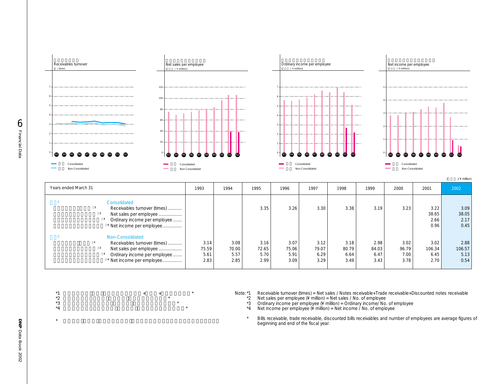

| Years ended March 31                                                                                                                               | 1993                          | 1994                          | 1995                          | 1996                          | 1997                          | 1998                          | 1999                          | 2000                          | 2001                           | 2002                           |
|----------------------------------------------------------------------------------------------------------------------------------------------------|-------------------------------|-------------------------------|-------------------------------|-------------------------------|-------------------------------|-------------------------------|-------------------------------|-------------------------------|--------------------------------|--------------------------------|
| Consolidated<br>Receivables turnover (times)<br>Net sales per employee<br>Ordinary income per employee<br><sup>4</sup> Net income per employee     |                               |                               | 3.35                          | 3.26                          | 3.30                          | 3.38                          | 3.19                          | 3.23                          | 3.22<br>38.65<br>2.66<br>0.96  | 3.09<br>38.05<br>2.17<br>0.45  |
| Non-Consolidated<br>Receivables turnover (times)<br>Net sales per employee<br>Ordinary income per employee<br><sup>4</sup> Net income per employee | 3.14<br>75.59<br>5.61<br>2.83 | 3.08<br>70.00<br>5.57<br>2.85 | 3.16<br>72.65<br>5.70<br>2.99 | 3.07<br>75.06<br>5.91<br>3.09 | 3.12<br>79.07<br>6.29<br>3.29 | 3.18<br>80.79<br>6.64<br>3.49 | 2.98<br>84.03<br>6.47<br>3.43 | 3.02<br>96.79<br>7.00<br>3.78 | 3.02<br>106.34<br>6.45<br>2.70 | 2.88<br>106.57<br>5.13<br>0.54 |

 $*$ 1  $*$   $*$   $*$   $*$   $*$   $*$   $*$ 

 $*2$   $*$  $*3$   $*$  $*4$   $*$ 

 $\star$ 

Note: \*1 Receivable turnover (times) = Net sales / Notes receivable+Trade receivable+Discounted notes receivable

\*2 Net sales per employee (¥ million) = Net sales / No. of employee

\*3 Ordinary income per employee (¥ million) = Ordinary income/ No. of employee

\*4 Net income per employee (¥ million) = Net income / No. of employee

\* Bills receivable, trade receivable, discounted bills receivables and number of employees are average figures of beginning and end of the fiscal year.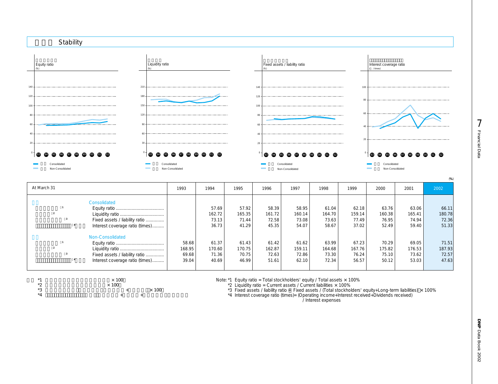

| At March 31                                                                           | 1993                              | 1994                              | 1995                              | 1996                              | 1997                              | 1998                              | 1999                              | 2000                              | 2001                              | 2002                              |
|---------------------------------------------------------------------------------------|-----------------------------------|-----------------------------------|-----------------------------------|-----------------------------------|-----------------------------------|-----------------------------------|-----------------------------------|-----------------------------------|-----------------------------------|-----------------------------------|
| Consolidated<br>Fixed assets / liability ratio<br>Interest coverage ratio (times)     |                                   | 57.69<br>162.72<br>73.13<br>36.73 | 57.92<br>165.35<br>71.44<br>41.29 | 58.39<br>161.72<br>72.58<br>45.35 | 58.95<br>160.14<br>73.08<br>54.07 | 61.04<br>164.70<br>73.63<br>58.67 | 62.18<br>159.14<br>77.49<br>37.02 | 63.76<br>160.38<br>76.95<br>52.49 | 63.06<br>165.41<br>74.94<br>59.40 | 66.11<br>180.78<br>72.36<br>51.33 |
| Non-Consolidated<br>Fixed assets / liability ratio<br>Interest coverage ratio (times) | 58.68<br>168.95<br>69.68<br>39.04 | 61.37<br>170.60<br>71.36<br>40.69 | 61.43<br>170.75<br>70.75<br>46.99 | 61.42<br>162.87<br>72.63<br>51.61 | 61.62<br>159.11<br>72.86<br>62.10 | 63.99<br>164.68<br>73.30<br>72.34 | 67.23<br>167.76<br>76.24<br>56.57 | 70.29<br>175.82<br>75.10<br>50.12 | 69.05<br>176.53<br>73.62<br>53.03 | 71.51<br>187.93<br>72.57<br>47.63 |

| $*1$     | $\times$ 100 |              |
|----------|--------------|--------------|
| $*$<br>– | $\times$ 100 |              |
| ∗ء<br>ٮ  |              | $\times$ 100 |

 $\ddot{\mathcal{A}}$  +  $\ddot{\mathcal{A}}$ 

Note: \*1 Equity ratio = Total stockholders' equity / Total assets × 100%

 $*2$  Liquidity ratio = Current assets / Current liabilities  $\times$  100%

\*3 Fixed assets / liability ratio = Fixed assets / (Total stockholders' equity+Long-term liabilities) × 100%<br>\*4 Interest coverage ratio (times)= (Operating income+Interest received+Dividends received)

Note that the *Interest* expenses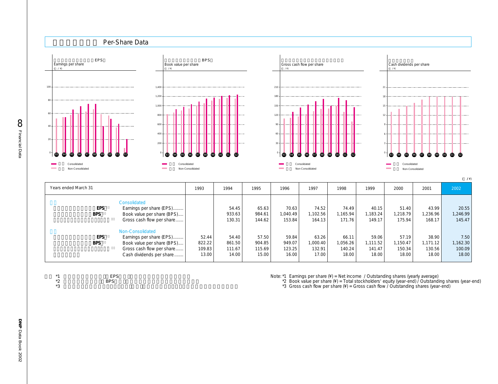

| -- -       |                            |        | - -    | -----  | .        | .        | .        | .        | - -     | .        |          |
|------------|----------------------------|--------|--------|--------|----------|----------|----------|----------|---------|----------|----------|
| <b>BPS</b> | Book value per share (BPS) |        | 933.63 | 984.61 | 1.040.49 | .102.56  | 1.165.94 | ,183.24  | .218.79 | .236.96  | 1,246.99 |
|            | Gross cash flow per share  |        | 130.31 | 144.62 | 153.84   | 164.131  | 171.76   | 149.17   | 175.94  | 168.17   | 145.47   |
|            | Non-Consolidated           |        |        |        |          |          |          |          |         |          |          |
|            |                            |        |        |        |          |          |          |          |         |          |          |
| EPS        | Earnings per share (EPS)   | 52.44  | 54.40  | 57.50  | 59.84    | 63.26    | 66.11    | 59.06    | 57.19   | 38.90    | 7.50     |
| <b>BPS</b> | Book value per share (BPS) | 822.22 | 861.50 | 904.85 | 949.07   | 1.000.40 | 1.056.26 | 1,111.52 | .150.47 | 1.171.12 | .162.30  |
|            | Gross cash flow per share  | 109.83 | 111.67 | 115.69 | 123.25   | 132.91   | 140.24   | 141.47   | 150.34  | 130.56   | 100.09   |
|            | Cash dividends per share   | 13.00  | 14.00  | 15.00  | 16.00    | 17.00    | 18.00    | 18.00    | 18.00   | 18.00    | 18.00    |
|            |                            |        |        |        |          |          |          |          |         |          |          |

| $*1$    | <b>EPS</b> |
|---------|------------|
| ∗າ<br>∠ | <b>BPS</b> |

 $*3$ 

Note: \*1 Earnings per share (¥) = Net income / Outstanding shares (yearly average)

\*2 Book value per share (¥) = Total stockholders' equity (year-end) / Outstanding shares (year-end)

\*3 Gross cash flow per share  $(*)$  = Gross cash flow / Outstanding shares (year-end)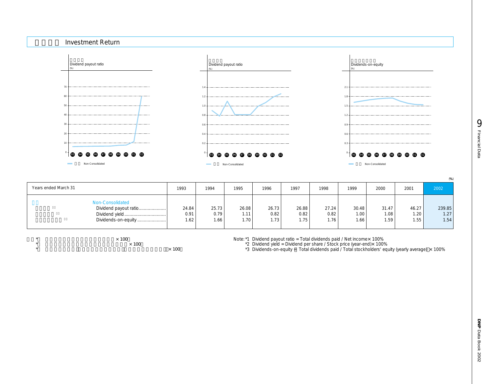

|                        |       |       |       |       |       |       |       |       |       | (% )              |
|------------------------|-------|-------|-------|-------|-------|-------|-------|-------|-------|-------------------|
| Years ended March 31   | 1993  | 1994  | 1995  | 1996  | 1997  | 1998  | 1999  | 2000  | 2001  | 2002              |
| Non-Consolidated       |       |       |       |       |       |       |       |       |       |                   |
| Dividend payout ratio! | 24.84 | 25.73 | 26.08 | 26.73 | 26.88 | 27.24 | 30.48 | 31.47 | 46.27 | 239.85            |
| Dividend yield         | 0.91  | 0.79  | 1.11  | 0.82  | 0.82  | 0.82  | 1.00  | 1.08  | 1.20  | 1.27              |
| Dividends-on-equity    | 1.62  | 1.66  | 1.70  | 1.73  | 1.75  | 1.76  | 1.66  | 1.59  | 1.55  | 1.54 <sub>1</sub> |
|                        |       |       |       |       |       |       |       |       |       |                   |

 $*$   $\times$  100

 $\overline{\times}$  100  $\star$   $\times$  100 Note: \*1 Dividend payout ratio = Total dividends paid / Net income×100%

\*2 Dividend yield = Dividend per share / Stock price (year-end)× 100%

<sup>\*</sup>3 Dividends-on-equity = Total dividends paid / Total stockholders' equity (yearly average) × 100%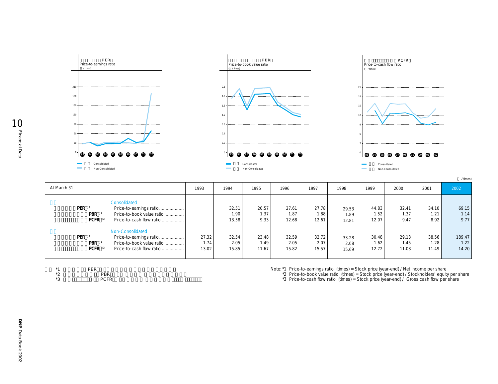

| At March 31 |                                                                                                                                         | 1993                   | 1994                   | 1995                   | 1996                   | 1997                   | 1998                   | 1999                   | 2000                   | 2001                   | 2002                    |
|-------------|-----------------------------------------------------------------------------------------------------------------------------------------|------------------------|------------------------|------------------------|------------------------|------------------------|------------------------|------------------------|------------------------|------------------------|-------------------------|
| PER         | Consolidated<br>Price-to-earnings ratio<br>Price-to-book value ratio<br>PBR <sup>3</sup><br>PCFR<br>Price-to-cash flow ratio            |                        | 32.51<br>1.90<br>13.58 | 20.57<br>1.37<br>9.33  | 27.61<br>1.87<br>12.68 | 27.78<br>1.88<br>12.61 | 29.53<br>1.89<br>12.81 | 44.83<br>1.52<br>12.07 | 32.41<br>1.37<br>9.47  | 34.10<br>1.21<br>8.92  | 69.15<br>1.14<br>9.77   |
| PER         | Non-Consolidated<br>Price-to-earnings ratio<br>Price-to-book value ratio<br>PBR <sup>3</sup><br><b>PCFR</b><br>Price-to-cash flow ratio | 27.32<br>1.74<br>13.02 | 32.54<br>2.05<br>15.85 | 23.48<br>1.49<br>11.67 | 32.59<br>2.05<br>15.82 | 32.72<br>2.07<br>15.57 | 33.28<br>2.08<br>15.69 | 30.48<br>1.62<br>12.72 | 29.13<br>1.45<br>11.08 | 38.56<br>1.28<br>11.49 | 189.47<br>1.22<br>14.20 |

| $*1$      | PER |             |  |  |
|-----------|-----|-------------|--|--|
| $*$<br>∸  |     | PBR         |  |  |
| $*2$<br>◡ |     | <b>PCFR</b> |  |  |

Note: \*1 Price-to-earnings ratio (times) = Stock price (year-end) / Net income per share

\*2 Price-to-book value ratio (times) = Stock price (year-end) / Stockholders' equity per share

\*3 Price-to-cash flow ratio (times) = Stock price (year-end) / Gross cash flow per share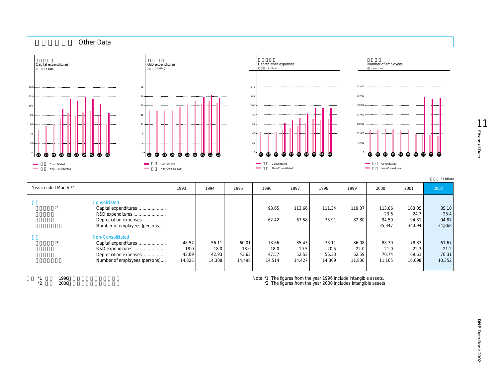

| Years ended March 31 |                               | 1993   | 1994   | 1995   | 1996   | 1997   | 1998   | 1999   | 2000   | 2001   | 2002   |
|----------------------|-------------------------------|--------|--------|--------|--------|--------|--------|--------|--------|--------|--------|
|                      | Consolidated                  |        |        |        |        |        |        |        |        |        |        |
|                      | Capital expenditures          |        |        |        | 93.65  | 113.66 | 111.34 | 119.37 | 113.86 | 103.05 | 85.10  |
|                      | R&D expenditures              |        |        |        |        |        |        |        | 23.6   | 24.7   | 23.4   |
|                      | Depreciation expenses         |        |        |        | 62.42  | 67.58  | 73.91  | 82.80  | 94.59  | 94.31  | 94.87  |
|                      | Number of employees (persons) |        |        |        |        |        |        |        | 35,347 | 34,094 | 34,868 |
|                      | Non-Consolidated              |        |        |        |        |        |        |        |        |        |        |
|                      | Capital expenditures          | 48.57  | 56.11  | 60.01  | 73.66  | 85.43  | 78.11  | 86.08  | 88.39  | 78.87  | 61.67  |
|                      | R&D expenditures              | 18.0   | 18.0   | 18.0   | 18.0   | 19.5   | 20.5   | 22.0   | 21.0   | 22.3   | 21.2   |
|                      | Depreciation expenses         | 43.09  | 42.93  | 43.63  | 47.57  | 52.53  | 56.33  | 62.59  | 70.74  | 69.61  | 70.31  |
|                      | Number of employees (persons) | 14,325 | 14,308 | 14.498 | 14,514 | 14.427 | 14,309 | 11,836 | 11.165 | 10.698 | 10,352 |
|                      |                               |        |        |        |        |        |        |        |        |        |        |

 $*1$   $*2$   $*2000$ 注) \*2 単体 2000年より無形固定資産を含む Note: \*1 The figures from the year 1996 include intangible assets.

\*2 The figures from the year 2000 includes intangible assets.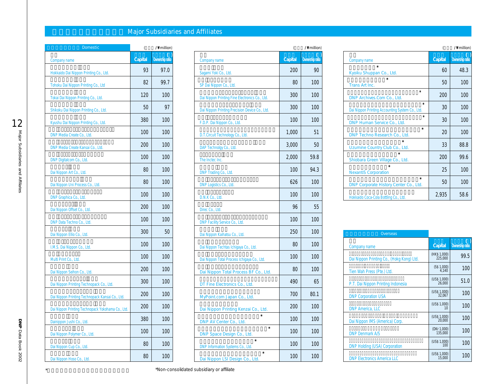# **Major Subsidiaries and Affiliates**

| Domestic                                          | $\overline{(\ }$ | /\ million)     |
|---------------------------------------------------|------------------|-----------------|
| Company name                                      | Capital          | Ownership ratio |
| Hokkaido Dai Nippon Printing Co., Ltd.            | 93               | 97.0            |
| Tohoku Dai Nippon Printing Co., Ltd               | 82               | 99.7            |
| Tokai Dai Nippon Printing Co., Ltd.               | 120              | 100             |
| Shikoku Dai Nippon Printing Co., Ltd.             | 50               | 97              |
| Kyushu Dai Nippon Printing Co., Ltd.              | 380              | 100             |
| DNP Media Create Co., Ltd.                        | 100              | 100             |
| DNP Media Create Kansai Co., Ltd.                 | 200              | 100             |
| DNP Digitalcom Co., Ltd.                          | 100              | 100             |
| Dai Nippon Art Co., Ltd.                          | 80               | 100             |
| Dai Nippon Uni Process Co., Ltd.                  | 80               | 100             |
| DNP Graphica Co., Ltd.                            | 100              | 100             |
| Dai Nippon Offset Co., Ltd.                       | 200              | 100             |
| DNP Data Techno Co., Ltd.                         | 100              | 100             |
| Dai Nippon Ellio Co., Ltd.                        | 300              | 50              |
| I.M.S. Dai Nippon Co., Ltd.                       | 100              | 100             |
| Multi Print Co., Ltd.                             | 100              | 100             |
| Dai Nippon Seihon Co., Ltd.                       | 200              | 100             |
| Dai Nippon Printing Technopack Co., Ltd.          | 300              | 100             |
| Dai Nippon Printing Technopack Kansai Co., Ltd.   | 200              | 100             |
| Dai Nippon Printing Technopack Yokohama Co., Ltd. | 200              | 100             |
| Dainippon Jushi Co., Ltd.                         | 380              | 100             |
| Dai Nippon Polymer Co., Ltd.                      | 100              | 100             |
| Dai Nippon Cup Co., Ltd.                          | 80               | 100             |
| Dai Nippon Hoso Co., Ltd.                         | 80               | 100             |

| <b>Domestic</b>                                   | $\left($ | /\ million)     |                                                |         | /\ million)     |             |
|---------------------------------------------------|----------|-----------------|------------------------------------------------|---------|-----------------|-------------|
| Company name                                      | Capital  | Ownership ratio | Company name                                   | Capital | Ownership ratio | Comp        |
| Hokkaido Dai Nippon Printing Co., Ltd.            | 93       | 97.0            | Sagami Yoki Co., Ltd.                          | 200     | 90              | Kyoi        |
| Tohoku Dai Nippon Printing Co., Ltd               | 82       | 99.7            | SP Dai Nippon Co., Ltd.                        | 80      | 100             | Trar        |
| Tokai Dai Nippon Printing Co., Ltd.               | 120      | 100             | Dai Nippon Printing Fine Electronics Co., Ltd. | 300     | 100             | <b>DNF</b>  |
| Shikoku Dai Nippon Printing Co., Ltd.             | 50       | 97              | Dai Nippon Printing Precision Device Co., Ltd. | 300     | 100             | Dai N       |
| Kyushu Dai Nippon Printing Co., Ltd.              | 380      | 100             | F.D.P. Dai Nippon Co., Ltd.                    | 100     | 100             | <b>DNF</b>  |
| DNP Media Create Co., Ltd.                        | 100      | 100             | D.T.Circuit Technology Co., Ltd.               | 1,000   | 51              | <b>DNF</b>  |
| DNP Media Create Kansai Co., Ltd.                 | 200      | 100             | DAP Technolgy Co., Ltd.                        | 3,000   | 50              | Uzu         |
| DNP Digitalcom Co., Ltd.                          | 100      | 100             | The Inctec Inc.                                | 2,000   | 59.8            | Shio        |
| Dai Nippon Art Co., Ltd.                          | 80       | 100             | DNP Trading Co., Ltd.                          | 100     | 94.3            | <b>Nex</b>  |
| Dai Nippon Uni Process Co., Ltd.                  | 80       | 100             | DNP Logistics Co., Ltd.                        | 626     | 100             | <b>DNF</b>  |
| DNP Graphica Co., Ltd.                            | 100      | 100             | D.N.K Co., Ltd.                                | 100     | 100             | <b>Hokk</b> |
| Dai Nippon Offset Co., Ltd.                       | 200      | 100             | Direc Co., Ltd.                                | 96      | 55              |             |
| DNP Data Techno Co., Ltd.                         | 100      | 100             | DNP Facility Service Co., Ltd.                 | 100     | 100             |             |
| Dai Nippon Ellio Co., Ltd.                        | 300      | 50              | Dai Nippon Kaihatsu Co., Ltd.                  | 250     | 100             |             |
| I.M.S. Dai Nippon Co., Ltd.                       | 100      | 100             | Dai Nippon Techtas Ichigaya Co., Ltd.          | 80      | 100             | Com         |
| Multi Print Co., Ltd.                             | 100      | 100             | Dai Nippon Total Process Ichigaya Co., Ltd.    | 100     | 100             | Dai N       |
| Dai Nippon Seihon Co., Ltd.                       | 200      | 100             | Dai Nippon Total Process BF Co., Ltd.          | 80      | 100             | Tien        |
| Dai Nippon Printing Technopack Co., Ltd.          | 300      | 100             | DT Fine Electronics Co., Ltd.                  | 490     | 65              | P.T.        |
| Dai Nippon Printing Technopack Kansai Co., Ltd.   | 200      | 100             | MyPoint.com Japan Co., Ltd.                    | 700     | 80.1            | <b>DNP</b>  |
| Dai Nippon Printing Technopack Yokohama Co., Ltd. | 200      | 100             | Dai Nippon Printing Kenzai Co., Ltd.           | 200     | 100             | <b>DNP</b>  |
| Dainippon Jushi Co., Ltd.                         | 380      | 100             | DNP AV Center Co., Ltd.                        | 100     | 100             | Dai N       |
| Dai Nippon Polymer Co., Ltd.                      | 100      | 100             | DNP Space Design Co., Ltd.                     | 100     | 100             | <b>DNP</b>  |
| Dai Nippon Cup Co., Ltd.                          | 80       | 100             | DNP Information Systems Co., Ltd.              | 100     | 100             | <b>DNP</b>  |
| Dai Nippon Hoso Co., Ltd.                         | 80       | 100             | Dai Nippon LSI Design Co., Ltd.                | 100     | 100             | <b>DNP</b>  |

|                                                            |         | /\ million)            |
|------------------------------------------------------------|---------|------------------------|
| Company name                                               | Capital | <b>Ownership ratio</b> |
| $\star$<br>Kyoiku Shuppan Co., Ltd.                        | 60      | 48.3                   |
| $\star$<br>Trans Art Inc.                                  | 50      | 100                    |
| $\star$<br>DNP Archives.Com Co., Ltd.                      | 200     | 100                    |
| $\star$<br>Dai Nippon Printing Accounting System Co., Ltd. | 30      | 100                    |
| $\star$<br>DNP Human Service Co., Ltd.                     | 30      | 100                    |
| $\star$<br>DNP Techno Research Co., Ltd.                   | 20      | 100                    |
| $\star$<br>Uzumine Country Club Co., Ltd.                  | 33      | 88.8                   |
| $\star$<br>Shiobara Green Village Co., Ltd.                | 200     | 99.6                   |
| $\star$<br><b>NexantiS Corporation</b>                     | 25      | 100                    |
| $\star$<br>DNP Corporate History Center Co., Ltd.          | 50      | 100                    |
| Hokkaido Coca-Cola Bottling Co., Ltd.                      | 2,935   | 58.6                   |

| Overseas                                  |                         |                 |
|-------------------------------------------|-------------------------|-----------------|
| Company name                              | Capital                 | Ownership ratio |
| Dai Nippon Printing Co., (Hokg Kong) Ltd. | (HK\$ 1,000)<br>225,000 | 99.5            |
| Tien Wah Press (Pte.) Ltd.                | (S\$ 1,000)<br>4.140    | 100             |
| P.T. Dai Nippon Printing Indonesia        | (US\$ 1,000)<br>26,000  | 51.0            |
| <b>DNP Corporation USA</b>                | (US\$ 1,000)<br>32.067  | 100             |
| <b>DNP America, LLC</b>                   | (US\$ 1,000)<br>10      | 100             |
| Dai Nippon IMS (America) Corp.            | (US\$ 1,000)<br>20,000  | 100             |
| <b>DNP Denmark A/S</b>                    | (DKr 1,000)<br>135,000  | 100             |
| <b>DNP Holding (USA) Corporation</b>      | (US\$ 1,000)<br>100     | 100             |
| <b>DNP Electronics America LLC</b>        | (US\$ 1,000)<br>15,000  | 100             |

\*は非連結子会社及び非連結関連会社です。 \*Non-consolidated subsidiary or affiliate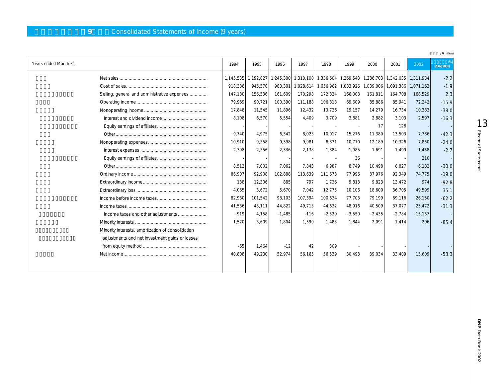# **9** Consolidated Statements of Income (9 years)

|                                                   |           |           |          |                     |          |          |                                   |                     |                     | /\ million) |
|---------------------------------------------------|-----------|-----------|----------|---------------------|----------|----------|-----------------------------------|---------------------|---------------------|-------------|
| Years ended March 31                              | 1994      | 1995      | 1996     | 1997                | 1998     | 1999     | 2000                              | 2001                | 2002                | (2002/2001) |
|                                                   | 1,145,535 | 1,192,827 |          | 1,245,300 1,310,100 |          |          | 1,336,604   1,269,543   1,286,703 | 1,342,035 1,311,934 |                     | $-2.2$      |
|                                                   | 918,386   | 945,570   | 983,301  | 1,028,614           |          |          | 1,056,962 1,033,926 1,039,006     |                     | 1,091,386 1,071,163 | $-1.9$      |
| Selling, general and administrative expenses      | 147,180   | 156,536   | 161,609  | 170,298             | 172,824  | 166,008  | 161.811                           | 164,708             | 168.529             | 2.3         |
|                                                   | 79.969    | 90,721    | 100,390  | 111,188             | 106,818  | 69,609   | 85,886                            | 85,941              | 72,242              | $-15.9$     |
|                                                   | 17,848    | 11,545    | 11,896   | 12,432              | 13,726   | 19,157   | 14,279                            | 16,734              | 10,383              | $-38.0$     |
|                                                   | 8,108     | 6,570     | 5,554    | 4.409               | 3.709    | 3.881    | 2.882                             | 3,103               | 2,597               | $-16.3$     |
|                                                   |           |           |          |                     |          |          | 17                                | 128                 |                     |             |
|                                                   | 9.740     | 4,975     | 6,342    | 8,023               | 10,017   | 15,276   | 11,380                            | 13,503              | 7,786               | $-42.3$     |
|                                                   | 10,910    | 9,358     | 9,398    | 9.981               | 8,871    | 10,770   | 12,189                            | 10,326              | 7,850               | $-24.0$     |
|                                                   | 2,398     | 2,356     | 2,336    | 2,138               | 1,884    | 1,985    | 1.691                             | 1,499               | 1,458               | $-2.7$      |
|                                                   |           |           |          |                     |          | 36       |                                   |                     | 210                 |             |
|                                                   | 8,512     | 7.002     | 7.062    | 7.843               | 6.987    | 8.749    | 10.498                            | 8,827               | 6,182               | $-30.0$     |
|                                                   | 86,907    | 92.908    | 102,888  | 113,639             | 111,673  | 77.996   | 87.976                            | 92,349              | 74,775              | $-19.0$     |
|                                                   | 138       | 12,306    | 885      | 797                 | 1.736    | 9.813    | 9.823                             | 13,472              | 974                 | $-92.8$     |
|                                                   | 4,065     | 3.672     | 5.670    | 7.042               | 12.775   | 10.106   | 18.600                            | 36.705              | 49.599              | 35.1        |
|                                                   | 82,980    | 101,542   | 98,103   | 107,394             | 100,634  | 77,703   | 79,199                            | 69,116              | 26,150              | $-62.2$     |
|                                                   | 41,586    | 43,111    | 44,822   | 49,713              | 44,632   | 48,916   | 40,509                            | 37,077              | 25,472              | $-31.3$     |
|                                                   | $-919$    | 4,158     | $-1,485$ | $-116$              | $-2,329$ | $-3,550$ | $-2,435$                          | $-2,784$            | $-15,137$           |             |
|                                                   | 1.570     | 3.609     | 1.804    | 1.590               | 1.483    | 1.844    | 2.091                             | 1.414               | 206                 | $-85.4$     |
| Minority interests, amortization of consolidation |           |           |          |                     |          |          |                                   |                     |                     |             |
| adjustments and net investment gains or losses    |           |           |          |                     |          |          |                                   |                     |                     |             |
|                                                   | $-65$     | 1,464     | $-12$    | 42                  | 309      |          |                                   |                     |                     |             |
|                                                   | 40,808    | 49,200    | 52,974   | 56,165              | 56,539   | 30,493   | 39,034                            | 33,409              | 15,609              | $-53.3$     |
|                                                   |           |           |          |                     |          |          |                                   |                     |                     |             |
|                                                   |           |           |          |                     |          |          |                                   |                     |                     |             |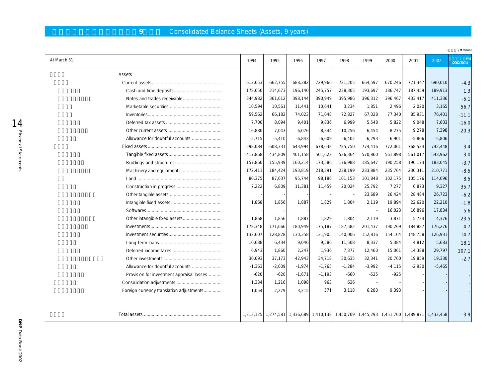# **9** Consolidated Balance Sheets (Assets, 9 years)

|                                           |          |          |          |          |          |          |                                                                                           |          |          | /\ million) |
|-------------------------------------------|----------|----------|----------|----------|----------|----------|-------------------------------------------------------------------------------------------|----------|----------|-------------|
| At March 31                               | 1994     | 1995     | 1996     | 1997     | 1998     | 1999     | 2000                                                                                      | 2001     | 2002     | (2002/2001) |
| Assets                                    |          |          |          |          |          |          |                                                                                           |          |          |             |
|                                           | 612,653  | 662,755  | 688,382  | 729,966  | 721,205  | 664,597  | 670,246                                                                                   | 721,347  | 690,010  | $-4.3$      |
|                                           | 178,650  | 214,673  | 196,140  | 245,757  | 238,305  | 193,697  | 186,747                                                                                   | 187,459  | 189,913  | 1.3         |
|                                           | 344,982  | 361,612  | 398,144  | 390,949  | 395,986  | 396,312  | 396,467                                                                                   | 433,417  | 411,336  | $-5.1$      |
|                                           | 10,594   | 10,561   | 11,441   | 10,641   | 3,234    | 1,851    | 2,496                                                                                     | 2,020    | 3,165    | 56.7        |
|                                           | 59,562   | 66,182   | 74,023   | 71,048   | 72,827   | 67,028   | 77,340                                                                                    | 85,931   | 76,401   | $-11.1$     |
|                                           | 7,700    | 8,094    | 9,401    | 9,836    | 6.999    | 5,548    | 5,822                                                                                     | 9,048    | 7,603    | $-16.0$     |
|                                           | 16,880   | 7,043    | 6,076    | 8,344    | 10,256   | 6,454    | 8,275                                                                                     | 9,278    | 7,398    | $-20.3$     |
| Allowance for doubtful accounts           | $-5,715$ | $-5,410$ | $-6,843$ | $-6,609$ | $-6,402$ | $-6,293$ | $-6,901$                                                                                  | $-5,806$ | $-5,806$ |             |
|                                           | 598,084  | 608,331  | 643,994  | 678,638  | 725,750  | 774,416  | 772,061                                                                                   | 768,524  | 742,448  | $-3.4$      |
|                                           | 417,868  | 434,809  | 461,158  | 501,622  | 536,364  | 570,860  | 561,898                                                                                   | 561,017  | 543,962  | $-3.0$      |
|                                           | 157,860  | 155,939  | 160,214  | 173,586  | 176,988  | 185,647  | 190,258                                                                                   | 190,173  | 183,045  | $-3.7$      |
|                                           | 172,411  | 184,424  | 193,819  | 218,391  | 238,199  | 233,884  | 235,764                                                                                   | 230,311  | 210,771  | $-8.5$      |
|                                           | 80,375   | 87,637   | 95,744   | 98,186   | 101,153  | 101,848  | 102,175                                                                                   | 105,176  | 114,096  | 8.5         |
|                                           | 7,222    | 6,809    | 11,381   | 11,459   | 20,024   | 25,792   | 7,277                                                                                     | 6,873    | 9,327    | 35.7        |
|                                           |          |          |          |          |          | 23,689   | 26,424                                                                                    | 28,484   | 26,723   | $-6.2$      |
|                                           | 1,868    | 1,856    | 1,887    | 1,829    | 1,804    | 2,119    | 19,894                                                                                    | 22,620   | 22,210   | $-1.8$      |
|                                           |          |          |          |          |          |          | 16,023                                                                                    | 16,896   | 17,834   | 5.6         |
|                                           | 1,868    | 1,856    | 1,887    | 1,829    | 1,804    | 2,119    | 3,871                                                                                     | 5,724    | 4,376    | $-23.5$     |
|                                           | 178,348  | 171,666  | 180,949  | 175,187  | 187,582  | 201,437  | 190,269                                                                                   | 184,887  | 176,276  | $-4.7$      |
|                                           | 132,607  | 128,828  | 130,358  | 131,905  | 140,006  | 152,816  | 154,104                                                                                   | 148,758  | 126,931  | $-14.7$     |
|                                           | 10,688   | 6,434    | 9,046    | 9,586    | 11,508   | 8,337    | 5,384                                                                                     | 4,812    | 5,683    | 18.1        |
|                                           | 6,943    | 1,860    | 2,247    | 1,936    | 7,377    | 12,460   | 15,061                                                                                    | 14,388   | 29,797   | 107.1       |
|                                           | 30,093   | 37,173   | 42,943   | 34,718   | 30,635   | 32,341   | 20,760                                                                                    | 19,859   | 19,330   | $-2.7$      |
| Allowance for doubtful accounts           | $-1,363$ | $-2,009$ | $-1,974$ | $-1,765$ | $-1,284$ | $-3,992$ | $-4,115$                                                                                  | $-2,930$ | $-5,465$ |             |
| Provision for investment appraisal losses | $-620$   | $-620$   | $-1,671$ | $-1,193$ | $-660$   | $-525$   | $-925$                                                                                    |          |          |             |
|                                           | 1,334    | 1,216    | 1,098    | 963      | 636      |          |                                                                                           |          |          |             |
| Foreign currency translation adjustments  | 1,054    | 2,279    | 3,215    | 571      | 3,118    | 6,280    | 9,393                                                                                     |          |          |             |
|                                           |          |          |          |          |          |          | 1,213,125 1,274,581 1,336,689 1,410,138 1,450,709 1,445,293 1,451,700 1,489,871 1,432,458 |          |          | $-3.9$      |

14<br>Financial Statements Financial Statements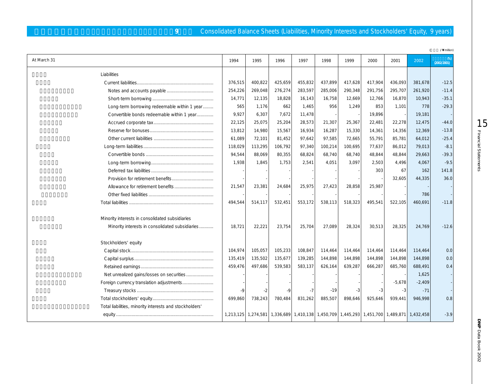### **9** Consolidated Balance Sheets (Liabilities, Minority Interests and Stockholders' Equity, 9 years)

|                                                         |         |         |                                                                                           |         |         |         |         |          |          | /\ million) |
|---------------------------------------------------------|---------|---------|-------------------------------------------------------------------------------------------|---------|---------|---------|---------|----------|----------|-------------|
| At March 31                                             | 1994    | 1995    | 1996                                                                                      | 1997    | 1998    | 1999    | 2000    | 2001     | 2002     | (2002/2001) |
| Liabilities                                             |         |         |                                                                                           |         |         |         |         |          |          |             |
|                                                         | 376,515 | 400,822 | 425,659                                                                                   | 455,832 | 437,899 | 417,628 | 417,904 | 436,093  | 381,678  | $-12.5$     |
|                                                         | 254,226 | 269,048 | 276,274                                                                                   | 283,597 | 285,006 | 290,348 | 291,756 | 295,707  | 261,920  | $-11.4$     |
|                                                         | 14,771  | 12,135  | 18,828                                                                                    | 16,143  | 16,758  | 12,669  | 12,766  | 16,870   | 10,943   | $-35.1$     |
| Long-term borrowing redeemable within 1 year            | 565     | 1,176   | 662                                                                                       | 1,465   | 956     | 1,249   | 853     | 1,101    | 778      | $-29.3$     |
| Convertible bonds redeemable within 1 year              | 9,927   | 6,307   | 7,672                                                                                     | 11,478  |         |         | 19,896  |          | 19,181   |             |
|                                                         | 22,125  | 25,075  | 25,204                                                                                    | 28,573  | 21,307  | 25,367  | 22,481  | 22,278   | 12,475   | $-44.0$     |
|                                                         | 13,812  | 14,980  | 15,567                                                                                    | 16,934  | 16,287  | 15,330  | 14,361  | 14,356   | 12,369   | $-13.8$     |
|                                                         | 61,089  | 72,101  | 81,452                                                                                    | 97,642  | 97,585  | 72,665  | 55,791  | 85,781   | 64,012   | $-25.4$     |
|                                                         | 118,029 | 113,295 | 106,792                                                                                   | 97,340  | 100,214 | 100,695 | 77,637  | 86,012   | 79,013   | $-8.1$      |
|                                                         | 94,544  | 88,069  | 80,355                                                                                    | 68,824  | 68,740  | 68,740  | 48,844  | 48,844   | 29,663   | $-39.3$     |
|                                                         | 1,938   | 1,845   | 1,753                                                                                     | 2,541   | 4,051   | 3,097   | 2,503   | 4,496    | 4,067    | $-9.5$      |
|                                                         |         |         |                                                                                           |         |         |         | 303     | 67       | 162      | 141.8       |
|                                                         |         |         |                                                                                           |         |         |         |         | 32,605   | 44,335   | 36.0        |
|                                                         | 21,547  | 23,381  | 24,684                                                                                    | 25,975  | 27,423  | 28,858  | 25,987  |          |          |             |
|                                                         |         |         |                                                                                           |         |         |         |         |          | 786      |             |
|                                                         | 494,544 | 514,117 | 532,451                                                                                   | 553,172 | 538,113 | 518,323 | 495,541 | 522.105  | 460,691  | $-11.8$     |
| Minority interests in consolidated subsidiaries         |         |         |                                                                                           |         |         |         |         |          |          |             |
| Minority interests in consolidated subsidiaries         | 18,721  | 22,221  | 23,754                                                                                    | 25,704  | 27,089  | 28,324  | 30,513  | 28,325   | 24,769   | $-12.6$     |
| Stockholders' equity                                    |         |         |                                                                                           |         |         |         |         |          |          |             |
|                                                         | 104,974 | 105,057 | 105,233                                                                                   | 108,847 | 114,464 | 114,464 | 114,464 | 114,464  | 114,464  | 0.0         |
|                                                         | 135,419 | 135,502 | 135,677                                                                                   | 139,285 | 144,898 | 144,898 | 144,898 | 144,898  | 144,898  | 0.0         |
|                                                         | 459,476 | 497,686 | 539,583                                                                                   | 583,137 | 626,164 | 639,287 | 666,287 | 685,760  | 688,491  | 0.4         |
| Net unrealized gains/losses on securities               |         |         |                                                                                           |         |         |         |         |          | 1,625    |             |
| Foreign currency translation adjustments                |         |         |                                                                                           |         |         |         |         | $-5,678$ | $-2,409$ |             |
|                                                         | $-9$    | -2      | $-9$                                                                                      | $-7$    | $-19$   | -3      |         | $-3$     | $-71$    |             |
|                                                         | 699,860 | 738,243 | 780,484                                                                                   | 831,262 | 885,507 | 898,646 | 925,646 | 939.441  | 946,998  | 0.8         |
| Total liabilities, minority interests and stockholders' |         |         |                                                                                           |         |         |         |         |          |          |             |
|                                                         |         |         | 1,213,125 1,274,581 1,336,689 1,410,138 1,450,709 1,445,293 1,451,700 1,489,871 1,432,458 |         |         |         |         |          |          | $-3.9$      |

LO<br>Financial Statements Financial Statements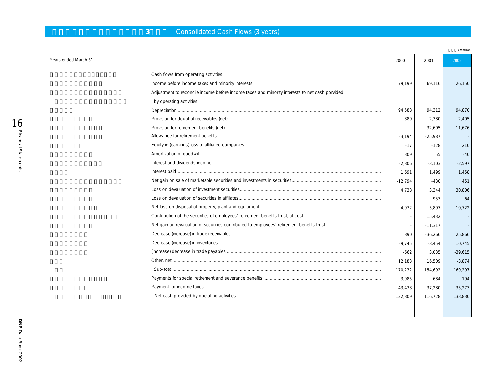# **3** Consolidated Cash Flows (3 years)

(**百万円 / ¥** million)

| Years ended March 31 |                                                                                                | 2000      | 2001      | 2002      |
|----------------------|------------------------------------------------------------------------------------------------|-----------|-----------|-----------|
|                      | Cash flows from operating activities                                                           |           |           |           |
|                      | Income before income taxes and minority interests                                              | 79.199    | 69,116    | 26,150    |
|                      | Adjustment to reconcile income before income taxes and minority interests to net cash porvided |           |           |           |
|                      | by operating activities                                                                        |           |           |           |
|                      |                                                                                                | 94,588    | 94,312    | 94,870    |
|                      |                                                                                                | 880       | $-2,380$  | 2,405     |
|                      |                                                                                                |           | 32,605    | 11,676    |
|                      |                                                                                                | $-3.194$  | $-25,987$ |           |
|                      |                                                                                                | $-17$     | $-128$    | 210       |
|                      |                                                                                                | 309       | 55        | $-40$     |
|                      |                                                                                                | $-2,806$  | $-3,103$  | $-2,597$  |
|                      |                                                                                                | 1.691     | 1.499     | 1,458     |
|                      |                                                                                                | $-12,794$ | $-430$    | 451       |
|                      |                                                                                                | 4,738     | 3,344     | 30,806    |
|                      |                                                                                                |           | 953       | 64        |
|                      |                                                                                                | 4.972     | 5.897     | 10.722    |
|                      |                                                                                                |           | 15,432    |           |
|                      |                                                                                                |           | $-11,317$ |           |
|                      |                                                                                                | 890       | $-36,266$ | 25,866    |
|                      |                                                                                                | $-9,745$  | $-8,454$  | 10,745    |
|                      |                                                                                                | $-662$    | 3,035     | $-39,615$ |
|                      |                                                                                                | 12,183    | 16,509    | $-3,874$  |
|                      |                                                                                                | 170,232   | 154,692   | 169,297   |
|                      |                                                                                                | $-3,985$  | -684      | $-194$    |
|                      |                                                                                                | $-43,438$ | $-37,280$ | $-35,273$ |
|                      |                                                                                                | 122,809   | 116,728   | 133,830   |
|                      |                                                                                                |           |           |           |
|                      |                                                                                                |           |           |           |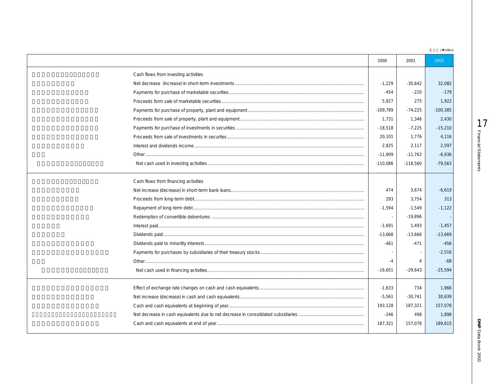| /\ million) |  |
|-------------|--|
|             |  |

|                                      | 2000       | 2001           | 2002       |
|--------------------------------------|------------|----------------|------------|
| Cash flows from investing activities |            |                |            |
|                                      | $-1,229$   | $-30.642$      | 32,082     |
|                                      | $-454$     | $-220$         | $-179$     |
|                                      | 5.927      | 275            | 1,922      |
|                                      | $-109,789$ | $-74,225$      | $-100,385$ |
|                                      | 1,731      | 1,346          | 2,430      |
|                                      | $-18,518$  | $-7,225$       | $-15,210$  |
|                                      | 20,101     | 1,776          | 4,116      |
|                                      | 2,825      | 2,117          | 2,597      |
|                                      | $-11,909$  | $-11,762$      | $-6,936$   |
|                                      | $-110,086$ | $-118,560$     | $-79,563$  |
| Cash flows from financing activities |            |                |            |
|                                      | 474        | 3,674          | $-6,619$   |
|                                      | 293        | 3.754          | 313        |
|                                      | $-1,594$   | $-1,549$       | $-1,122$   |
|                                      |            | $-19.896$      |            |
|                                      | $-1,691$   | 1,493          | $-1,457$   |
|                                      | $-13,668$  | $-13,666$      | $-13,669$  |
|                                      | $-461$     | $-471$         | $-456$     |
|                                      |            |                | $-2,516$   |
|                                      | $-4$       | $\overline{4}$ | $-68$      |
|                                      | $-16,651$  | $-29,643$      | $-25,594$  |
|                                      | $-1,633$   | 734            | 1,966      |
|                                      | $-5,561$   | $-30.741$      | 30.639     |
|                                      | 193,128    | 187,321        | 157,078    |
|                                      | $-246$     | 498            | 1.898      |
|                                      | 187,321    | 157,078        | 189,615    |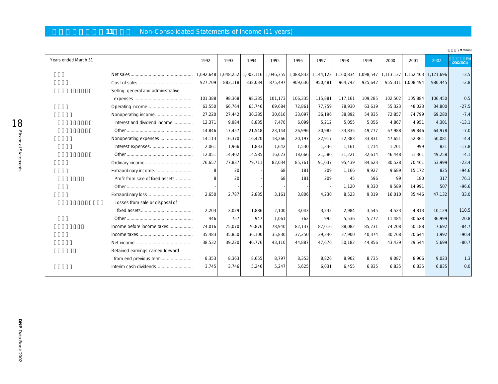# 11 **Non-Consolidated Statements of Income (11 years)**

|                      |                                     |              |         |                     |           |           |           |           |           |         |                     |           | /\ million)       |
|----------------------|-------------------------------------|--------------|---------|---------------------|-----------|-----------|-----------|-----------|-----------|---------|---------------------|-----------|-------------------|
| Years ended March 31 |                                     | 1992         | 1993    | 1994                | 1995      | 1996      | 1997      | 1998      | 1999      | 2000    | 2001                | 2002      | C%<br>(2002/2001) |
|                      |                                     | 1,092,648    |         | 1,048,252 1,002,116 | 1,046,355 | 1,088,833 | 1,144,122 | 1,160,834 | 1,098,547 |         | 1,113,137 1,162,403 | 1,121,696 | $-3.5$            |
|                      |                                     | 927,709      | 883,118 | 838,034             | 875,497   | 909,636   | 950,481   | 964,742   | 925,642   |         | 955,311 1,008,494   | 980,445   | $-2.8$            |
|                      | Selling, general and administrative |              |         |                     |           |           |           |           |           |         |                     |           |                   |
|                      |                                     | 101,388      | 98,368  | 98,335              | 101,173   | 106,335   | 115,881   | 117,161   | 109,285   | 102,502 | 105,884             | 106,450   | 0.5               |
|                      |                                     | 63,550       | 66,764  | 65,746              | 69,684    | 72,861    | 77,759    | 78,930    | 63,619    | 55,323  | 48,023              | 34,800    | $-27.5$           |
|                      |                                     | 27,220       | 27,442  | 30,385              | 30,616    | 33,097    | 36,196    | 38,892    | 54,835    | 72,857  | 74,799              | 69,280    | $-7.4$            |
|                      | Interest and dividend income        | 12,371       | 9.984   | 8,835               | 7.470     | 6.099     | 5,212     | 5,055     | 5,056     | 4,867   | 4.951               | 4.301     | $-13.1$           |
|                      |                                     | 14,846       | 17,457  | 21,548              | 23,144    | 26,996    | 30,982    | 33,835    | 49.777    | 67.988  | 69,846              | 64.978    | $-7.0$            |
|                      | Nonoperating expenses               | 14,113       | 16,370  | 16,420              | 18,266    | 20,197    | 22,917    | 22,383    | 33,831    | 47,651  | 52,361              | 50,081    | $-4.4$            |
|                      |                                     | 2,061        | 1,966   | 1,833               | 1.642     | 1,530     | 1,336     | 1.161     | 1,214     | 1,201   | 999                 | 821       | $-17.8$           |
|                      |                                     | 12,051       | 14,402  | 14,585              | 16,623    | 18,666    | 21,580    | 21,221    | 32,614    | 46.448  | 51,361              | 49,258    | $-4.1$            |
|                      |                                     | 76,657       | 77,837  | 79,711              | 82,034    | 85,761    | 91,037    | 95,439    | 84,623    | 80,528  | 70.461              | 53,999    | $-23.4$           |
|                      | Extraordinary income                | 8            | 20      |                     | 68        | 181       | 209       | 1,166     | 9,927     | 9,689   | 15.172              | 825       | $-94.6$           |
|                      | Profit from sale of fixed assets    | $\mathsf{R}$ | 20      |                     | 68        | 181       | 209       | 45        | 596       | 99      | 180                 | 317       | 76.1              |
|                      |                                     |              |         |                     |           |           |           | 1,120     | 9,330     | 9,589   | 14,991              | 507       | $-96.6$           |
|                      |                                     | 2,650        | 2,787   | 2,835               | 3,161     | 3,806     | 4,230     | 8,523     | 9,319     | 16,010  | 35,446              | 47,132    | 33.0              |
|                      | Losses from sale or disposal of     |              |         |                     |           |           |           |           |           |         |                     |           |                   |
|                      |                                     | 2,203        | 2,029   | 1,886               | 2,100     | 3,043     | 3,232     | 2,984     | 3,545     | 4,523   | 4,813               | 10,129    | 110.5             |
|                      |                                     | 446          | 757     | 947                 | 1,061     | 762       | 995       | 5,536     | 5,772     | 11,484  | 30,628              | 36,999    | 20.8              |
|                      | Income before income taxes          | 74,016       | 75,070  | 76,876              | 78,940    | 82,137    | 87,016    | 88,082    | 85,231    | 74,208  | 50,188              | 7,692     | $-84.7$           |
|                      |                                     | 35,483       | 35,850  | 36,100              | 35,830    | 37,250    | 39,340    | 37,900    | 40,374    | 30,768  | 20,644              | 1,992     | $-90.4$           |
|                      |                                     | 38,532       | 39,220  | 40,776              | 43,110    | 44,887    | 47,676    | 50,182    | 44,856    | 43,439  | 29,544              | 5,699     | $-80.7$           |
|                      | Retained earnings carried forward   |              |         |                     |           |           |           |           |           |         |                     |           |                   |
|                      | from end previous term              | 8,353        | 8,363   | 8.655               | 8.797     | 8.353     | 8,826     | 8.902     | 8,735     | 9.087   | 8,906               | 9,023     | 1.3               |
|                      | Interim cash dividends              | 3,745        | 3,746   | 5,246               | 5,247     | 5.625     | 6.031     | 6.455     | 6,835     | 6.835   | 6.835               | 6,835     | 0.0               |
|                      |                                     |              |         |                     |           |           |           |           |           |         |                     |           |                   |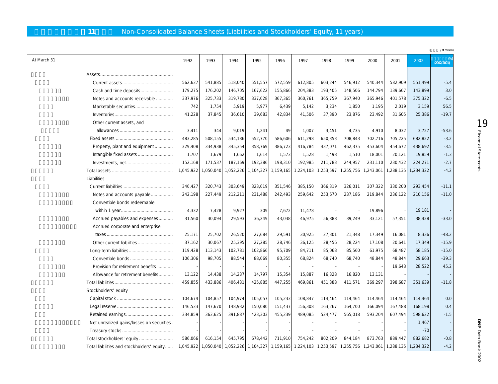# 11 Non-Consolidated Balance Sheets (Liabilities and Stockholders' Equity, 11 years)

|                                            |           |           |           |           |                                                                                                     |           |           |           |           |           |           | /\ million) |
|--------------------------------------------|-----------|-----------|-----------|-----------|-----------------------------------------------------------------------------------------------------|-----------|-----------|-----------|-----------|-----------|-----------|-------------|
| At March 31                                | 1992      | 1993      | 1994      | 1995      | 1996                                                                                                | 1997      | 1998      | 1999      | 2000      | 2001      | 2002      | (2002/2001) |
|                                            |           |           |           |           |                                                                                                     |           |           |           |           |           |           |             |
|                                            | 562,637   | 541,885   | 518,040   | 551,557   | 572,559                                                                                             | 612,805   | 603,244   | 546,912   | 540,344   | 582,909   | 551,499   | $-5.4$      |
| Cash and time deposits                     | 179,275   | 176,202   | 146,705   | 167,622   | 155,866                                                                                             | 204,383   | 193,405   | 148,506   | 144,794   | 139,667   | 143,899   | 3.0         |
| Notes and accounts receivable              | 337,976   | 325,733   | 319,780   | 337,028   | 367,365                                                                                             | 360,761   | 365,759   | 367,940   | 365,946   | 401,578   | 375,322   | $-6.5$      |
| Marketable securities                      | 742       | 1,754     | 5,919     | 5,977     | 6,439                                                                                               | 5,142     | 3,234     | 1,850     | 1,195     | 2,019     | 3,159     | 56.5        |
|                                            | 41,228    | 37,845    | 36,610    | 39,683    | 42,834                                                                                              | 41,506    | 37,390    | 23,876    | 23,492    | 31,605    | 25,386    | $-19.7$     |
| Other current assets, and                  |           |           |           |           |                                                                                                     |           |           |           |           |           |           |             |
|                                            | 3,411     | 344       | 9,019     | 1,241     | 49                                                                                                  | 1,007     | 3,451     | 4,735     | 4,910     | 8,032     | 3,727     | $-53.6$     |
|                                            | 483,285   | 508,155   | 534,186   | 552,770   | 586,606                                                                                             | 611,298   | 650,353   | 708,843   | 702,716   | 705,225   | 682,822   | $-3.2$      |
| Property, plant and equipment              | 329,408   | 334,938   | 345,354   | 358,769   | 386,723                                                                                             | 416,784   | 437,071   | 462,375   | 453,604   | 454,672   | 438,692   | $-3.5$      |
|                                            | 1,707     | 1,679     | 1,662     | 1,614     | 1,573                                                                                               | 1,528     | 1,498     | 1,510     | 18,001    | 20,121    | 19,859    | $-1.3$      |
|                                            | 152,168   | 171,537   | 187,169   | 192,386   | 198,310                                                                                             | 192,985   | 211,783   | 244,957   | 231,110   | 230,432   | 224,271   | $-2.7$      |
|                                            | 1,045,922 | 1,050,040 | 1,052,226 | 1,104,327 | 1,159,165                                                                                           | 1,224,103 | 1,253,597 | 1,255,756 | 1,243,061 | 1,288,135 | 1,234,322 | $-4.2$      |
| Liabilities                                |           |           |           |           |                                                                                                     |           |           |           |           |           |           |             |
|                                            | 340,427   | 320,743   | 303,649   | 323,019   | 351,546                                                                                             | 385,150   | 366,319   | 326,011   | 307,322   | 330,200   | 293,454   | $-11.1$     |
| Notes and accounts payable                 |           | 227,449   | 212,211   | 231,488   | 242,493                                                                                             | 259,642   | 253,670   | 237,186   | 219,844   | 236,122   | 210,156   | $-11.0$     |
| Convertible bonds redeemable               |           |           |           |           |                                                                                                     |           |           |           |           |           |           |             |
|                                            | 4,332     | 7,428     | 9,927     | 309       | 7,672                                                                                               | 11,478    |           |           | 19,896    |           | 19,181    |             |
| Accrued payables and expenses              | 31,560    | 30,094    | 29,593    | 36,249    | 43,038                                                                                              | 46,975    | 56,888    | 39,249    | 33,121    | 57,351    | 38,428    | $-33.0$     |
| Accrued corporate and enterprise           |           |           |           |           |                                                                                                     |           |           |           |           |           |           |             |
|                                            | 25,171    | 25,702    | 26,520    | 27,684    | 29,591                                                                                              | 30,925    | 27,301    | 21,348    | 17,349    | 16,081    | 8,336     | $-48.2$     |
|                                            | 37,162    | 30,067    | 25,395    | 27,285    | 28,746                                                                                              | 36,125    | 28,456    | 28,224    | 17,108    | 20,641    | 17,349    | $-15.9$     |
|                                            | 119,428   | 113,143   | 102,781   | 102,866   | 95,709                                                                                              | 84,711    | 85,068    | 85,560    | 61,975    | 68,487    | 58,185    | $-15.0$     |
| Convertible bonds                          | 106,306   | 98,705    | 88,544    | 88,069    | 80,355                                                                                              | 68,824    | 68,740    | 68,740    | 48,844    | 48,844    | 29,663    | $-39.3$     |
| Provision for retirement benefits          |           |           |           |           |                                                                                                     |           |           |           |           | 19,643    | 28,522    | 45.2        |
| Allowance for retirement benefits          | 13,122    | 14,438    | 14,237    | 14,797    | 15,354                                                                                              | 15,887    | 16,328    | 16,820    | 13,131    |           |           |             |
|                                            | 459,855   | 433,886   | 406,431   | 425,885   | 447,255                                                                                             | 469,861   | 451,388   | 411,571   | 369,297   | 398,687   | 351,639   | $-11.8$     |
| Stockholders' equity                       |           |           |           |           |                                                                                                     |           |           |           |           |           |           |             |
|                                            | 104,674   | 104,857   | 104,974   | 105,057   | 105,233                                                                                             | 108,847   | 114,464   | 114,464   | 114,464   | 114,464   | 114,464   | 0.0         |
|                                            | 146,533   | 147,670   | 148,932   | 150,080   | 151,437                                                                                             | 156,308   | 163,267   | 164,700   | 166,094   | 167,488   | 168,198   | 0.4         |
|                                            | 334,859   | 363,625   | 391,887   | 423,303   | 455,239                                                                                             | 489,085   | 524,477   | 565,018   | 593,204   | 607,494   | 598.622   | $-1.5$      |
| Net unrealized gains/losses on securities. |           |           |           |           |                                                                                                     |           |           |           |           |           | 1,467     |             |
|                                            |           |           |           |           |                                                                                                     |           |           |           |           |           | $-70$     |             |
| Total stockholders' equity                 | 586,066   | 616,154   | 645,795   | 678,442   | 711,910                                                                                             | 754,242   | 802,209   | 844,184   | 873,763   | 889,447   | 882,682   | $-0.8$      |
| Total liabilities and stockholders' equity | 1,045,922 |           |           |           | 1,050,040 1,052,226 1,104,327 1,159,165 1,224,103 1,253,597 1,255,756 1,243,061 1,288,135 1,234,322 |           |           |           |           |           |           | $-4.2$      |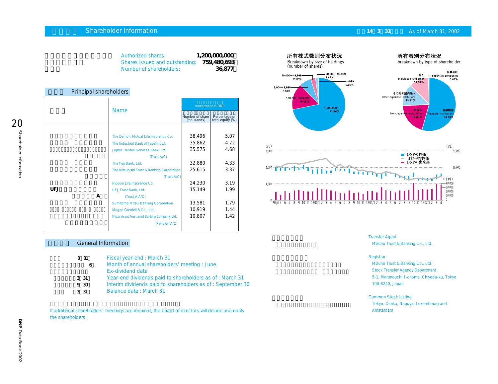### **Shareholder Information 14.1 As of March 31, 2002**

| 1,200,000,000<br><b>Authorized shares:</b><br>759,480,693<br>Shares issued and outstanding:<br>36,877<br>Number of shareholders: |   |                                                                                                                                                                                                                                                                                                                                          |                                                                              |                                                              |  |  |  |  |
|----------------------------------------------------------------------------------------------------------------------------------|---|------------------------------------------------------------------------------------------------------------------------------------------------------------------------------------------------------------------------------------------------------------------------------------------------------------------------------------------|------------------------------------------------------------------------------|--------------------------------------------------------------|--|--|--|--|
| Principal shareholders                                                                                                           |   |                                                                                                                                                                                                                                                                                                                                          |                                                                              |                                                              |  |  |  |  |
|                                                                                                                                  |   |                                                                                                                                                                                                                                                                                                                                          |                                                                              | <b>Investment in DNP</b>                                     |  |  |  |  |
|                                                                                                                                  |   | <b>Name</b>                                                                                                                                                                                                                                                                                                                              | Number of share<br>(thousands)                                               | Percentage of<br>total equity (%)                            |  |  |  |  |
| UEJ                                                                                                                              | A | The Dai-ichi Mutual Life Insurance Co.<br>The Industrial Bank of Japan, Ltd.<br>Japan Trustee Services Bank, Ltd.<br>(Trust A/C)<br>The Fuji Bank, Ltd.<br>The Mitsubishi Trust & Banking Corporation<br>(Trust A/C)<br>Nippon Life Insurance Co.<br>UFJ Trust Bank, Ltd.<br>(Trust A A/C)<br><b>Sumitomo Mitsui Banking Corporation</b> | 38,496<br>35,862<br>35,575<br>32,880<br>25,615<br>24.230<br>15.149<br>13,581 | 5.07<br>4.72<br>4.68<br>4.33<br>3.37<br>3.19<br>1.99<br>1.79 |  |  |  |  |
|                                                                                                                                  |   | Mogan Grenfell & Co., Ltd.<br>Mitsui Asset Trust aned Banking Company, Ltd.                                                                                                                                                                                                                                                              | 10,919<br>10,807                                                             | 1.44<br>1.42                                                 |  |  |  |  |
|                                                                                                                                  |   | (Pension A/C)                                                                                                                                                                                                                                                                                                                            |                                                                              |                                                              |  |  |  |  |

### **General Information**

- **決算期 3月31日** Fiscal year-end : March 31
- **七月**<br>七月<br>1990年 6月 Month of annual shareholders' meeting : June Ex-dividend date
	- **利益配当金:3月31日** Year-end dividends paid to shareholders as of : March 31
	- **中間配当金:9月30日** Interim dividends paid to shareholders as of : September 30
	- **基準日 :3月31日** Balance date : March 31

If additional shareholders' meetings are required, the board of directors will decide and notify the shareholders.



Transfer Agent Mizuho Trust & Banking Co., Ltd.

### **Registrar**

Mizuho Trust & Banking Co., Ltd. Stock Transfer Agency Department 5-1, Marunouchi 1-chome, Chiyoda-ku, Tokyo 100-8240, Japan

### Common Stock Listing

Tokyo, Osaka, Nagoya, Luxembourg and Amsterdam